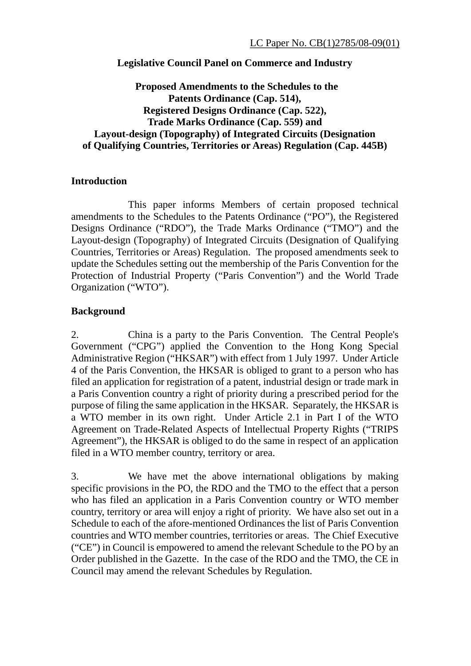## **Legislative Council Panel on Commerce and Industry**

**Proposed Amendments to the Schedules to the Patents Ordinance (Cap. 514), Registered Designs Ordinance (Cap. 522), Trade Marks Ordinance (Cap. 559) and Layout-design (Topography) of Integrated Circuits (Designation of Qualifying Countries, Territories or Areas) Regulation (Cap. 445B)** 

### **Introduction**

 This paper informs Members of certain proposed technical amendments to the Schedules to the Patents Ordinance ("PO"), the Registered Designs Ordinance ("RDO"), the Trade Marks Ordinance ("TMO") and the Layout-design (Topography) of Integrated Circuits (Designation of Qualifying Countries, Territories or Areas) Regulation. The proposed amendments seek to update the Schedules setting out the membership of the Paris Convention for the Protection of Industrial Property ("Paris Convention") and the World Trade Organization ("WTO").

#### **Background**

2. China is a party to the Paris Convention. The Central People's Government ("CPG") applied the Convention to the Hong Kong Special Administrative Region ("HKSAR") with effect from 1 July 1997. Under Article 4 of the Paris Convention, the HKSAR is obliged to grant to a person who has filed an application for registration of a patent, industrial design or trade mark in a Paris Convention country a right of priority during a prescribed period for the purpose of filing the same application in the HKSAR. Separately, the HKSAR is a WTO member in its own right. Under Article 2.1 in Part I of the WTO Agreement on Trade-Related Aspects of Intellectual Property Rights ("TRIPS Agreement"), the HKSAR is obliged to do the same in respect of an application filed in a WTO member country, territory or area.

3. We have met the above international obligations by making specific provisions in the PO, the RDO and the TMO to the effect that a person who has filed an application in a Paris Convention country or WTO member country, territory or area will enjoy a right of priority. We have also set out in a Schedule to each of the afore-mentioned Ordinances the list of Paris Convention countries and WTO member countries, territories or areas. The Chief Executive ("CE") in Council is empowered to amend the relevant Schedule to the PO by an Order published in the Gazette. In the case of the RDO and the TMO, the CE in Council may amend the relevant Schedules by Regulation.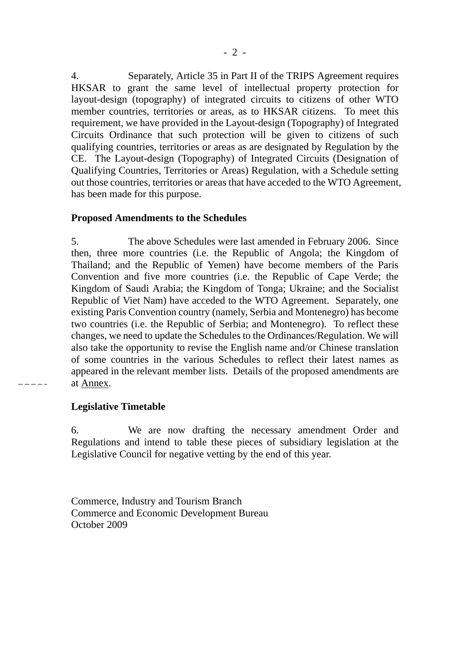4. Separately, Article 35 in Part II of the TRIPS Agreement requires HKSAR to grant the same level of intellectual property protection for layout-design (topography) of integrated circuits to citizens of other WTO member countries, territories or areas, as to HKSAR citizens. To meet this requirement, we have provided in the Layout-design (Topography) of Integrated Circuits Ordinance that such protection will be given to citizens of such qualifying countries, territories or areas as are designated by Regulation by the CE. The Layout-design (Topography) of Integrated Circuits (Designation of Qualifying Countries, Territories or Areas) Regulation, with a Schedule setting out those countries, territories or areas that have acceded to the WTO Agreement, has been made for this purpose.

### **Proposed Amendments to the Schedules**

5. The above Schedules were last amended in February 2006. Since then, three more countries (i.e. the Republic of Angola; the Kingdom of Thailand; and the Republic of Yemen) have become members of the Paris Convention and five more countries (i.e. the Republic of Cape Verde; the Kingdom of Saudi Arabia; the Kingdom of Tonga; Ukraine; and the Socialist Republic of Viet Nam) have acceded to the WTO Agreement. Separately, one existing Paris Convention country (namely, Serbia and Montenegro) has become two countries (i.e. the Republic of Serbia; and Montenegro). To reflect these changes, we need to update the Schedules to the Ordinances/Regulation. We will also take the opportunity to revise the English name and/or Chinese translation of some countries in the various Schedules to reflect their latest names as appeared in the relevant member lists. Details of the proposed amendments are at Annex.

 $-$ 

## **Legislative Timetable**

6. We are now drafting the necessary amendment Order and Regulations and intend to table these pieces of subsidiary legislation at the Legislative Council for negative vetting by the end of this year.

Commerce, Industry and Tourism Branch Commerce and Economic Development Bureau October 2009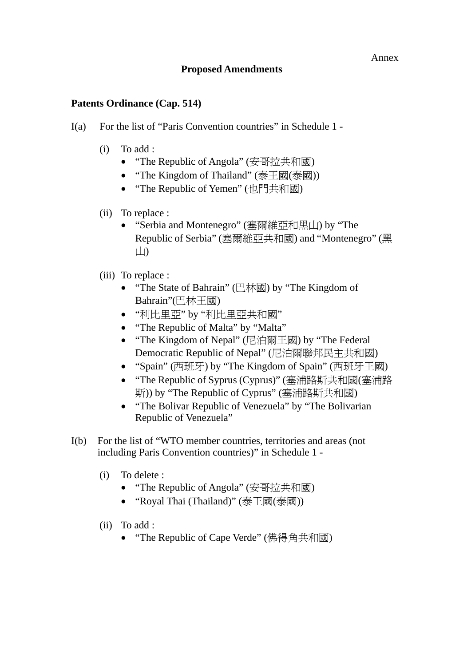# **Proposed Amendments**

# **Patents Ordinance (Cap. 514)**

- I(a) For the list of "Paris Convention countries" in Schedule 1
	- (i) To add :
		- "The Republic of Angola" (安哥拉共和國)
		- "The Kingdom of Thailand" (泰王國(泰國))
		- "The Republic of Yemen" (也門共和國)
	- (ii) To replace :
		- "Serbia and Montenegro" (塞爾維亞和黑山) by "The Republic of Serbia" (塞爾維亞共和國) and "Montenegro" (黑 山)
	- (iii) To replace :
		- "The State of Bahrain" (巴林國) by "The Kingdom of Bahrain"(巴林王國)
		- "利比里亞" by "利比里亞共和國"
		- "The Republic of Malta" by "Malta"
		- "The Kingdom of Nepal" (尼泊爾王國) by "The Federal Democratic Republic of Nepal" (尼泊爾聯邦民主共和國)
		- "Spain" (西班牙) by "The Kingdom of Spain" (西班牙王國)
		- "The Republic of Syprus (Cyprus)" (塞浦路斯共和國(塞浦路 斯)) by "The Republic of Cyprus" (塞浦路斯共和國)
		- "The Bolivar Republic of Venezuela" by "The Bolivarian" Republic of Venezuela"
- I(b) For the list of "WTO member countries, territories and areas (not including Paris Convention countries)" in Schedule 1 -
	- (i) To delete :
		- "The Republic of Angola" (安哥拉共和國)
		- "Royal Thai (Thailand)" (泰王國(泰國))
	- (ii) To add :
		- "The Republic of Cape Verde" (佛得角共和國)